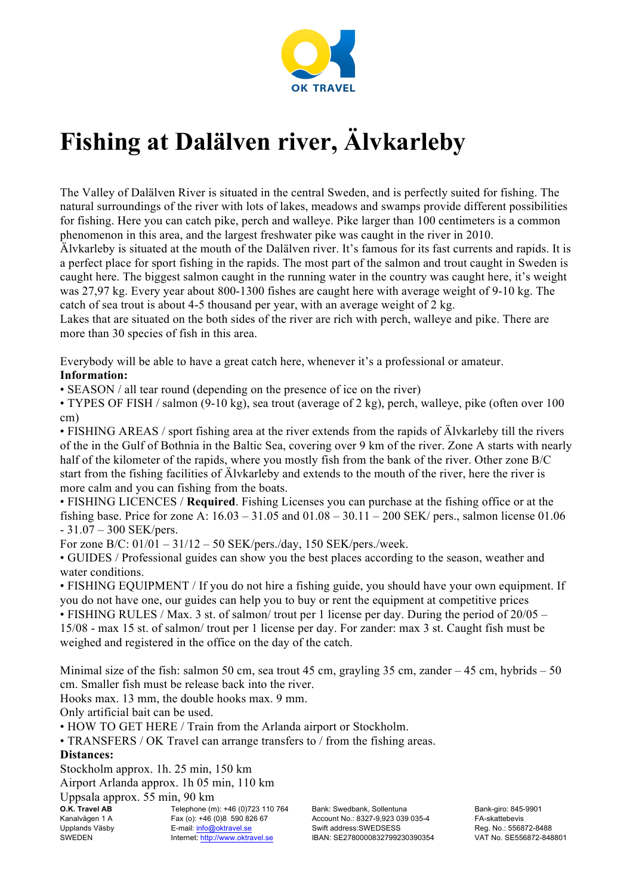

# **Fishing at Dalälven river, Älvkarleby**

The Valley of Dalälven River is situated in the central Sweden, and is perfectly suited for fishing. The natural surroundings of the river with lots of lakes, meadows and swamps provide different possibilities for fishing. Here you can catch pike, perch and walleye. Pike larger than 100 centimeters is a common phenomenon in this area, and the largest freshwater pike was caught in the river in 2010.

Älvkarleby is situated at the mouth of the Dalälven river. It's famous for its fast currents and rapids. It is a perfect place for sport fishing in the rapids. The most part of the salmon and trout caught in Sweden is caught here. The biggest salmon caught in the running water in the country was caught here, it's weight was 27,97 kg. Every year about 800-1300 fishes are caught here with average weight of 9-10 kg. The catch of sea trout is about 4-5 thousand per year, with an average weight of 2 kg.

Lakes that are situated on the both sides of the river are rich with perch, walleye and pike. There are more than 30 species of fish in this area.

Everybody will be able to have a great catch here, whenever it's a professional or amateur.

## **Information:**

• SEASON / all tear round (depending on the presence of ice on the river)

• TYPES OF FISH / salmon (9-10 kg), sea trout (average of 2 kg), perch, walleye, pike (often over 100 cm)

• FISHING AREAS / sport fishing area at the river extends from the rapids of Älvkarleby till the rivers of the in the Gulf of Bothnia in the Baltic Sea, covering over 9 km of the river. Zone A starts with nearly half of the kilometer of the rapids, where you mostly fish from the bank of the river. Other zone B/C start from the fishing facilities of Älvkarleby and extends to the mouth of the river, here the river is more calm and you can fishing from the boats.

• FISHING LICENCES / **Required**. Fishing Licenses you can purchase at the fishing office or at the fishing base. Price for zone A:  $16.03 - 31.05$  and  $01.08 - 30.11 - 200$  SEK/ pers., salmon license 01.06 - 31.07 – 300 SEK/pers.

For zone В/С: 01/01 – 31/12 – 50 SEK/pers./day, 150 SEK/pers./week.

• GUIDES / Professional guides can show you the best places according to the season, weather and water conditions.

• FISHING EQUIPMENT / If you do not hire a fishing guide, you should have your own equipment. If you do not have one, our guides can help you to buy or rent the equipment at competitive prices • FISHING RULES / Max. 3 st. of salmon/ trout per 1 license per day. During the period of 20/05 – 15/08 - max 15 st. of salmon/ trout per 1 license per day. For zander: max 3 st. Caught fish must be weighed and registered in the office on the day of the catch.

Minimal size of the fish: salmon 50 cm, sea trout 45 cm, grayling 35 cm, zander  $-45$  cm, hybrids  $-50$ cm. Smaller fish must be release back into the river.

Hooks max. 13 mm, the double hooks max. 9 mm.

Only artificial bait can be used.

• HOW TO GET HERE / Train from the Arlanda airport or Stockholm.

• TRANSFERS / OK Travel can arrange transfers to / from the fishing areas.

## **Distances:**

Stockholm approx. 1h. 25 min, 150 km Airport Arlanda approx. 1h 05 min, 110 km

Uppsala approx. 55 min, 90 km

| O.K. Travel AB | <b>Teleph</b> |
|----------------|---------------|
| Kanalvägen 1 A | Fax(0)        |
| Upplands Väsby | E-mail:       |
| SWEDEN         | Internet      |
|                |               |

one (m): +46 (0)723 110 764 +46 (0)8 590 826 67 info@oktravel.se t: http://www.oktravel.se

Bank: Swedbank, Sollentuna Account No.: 8327-9,923 039 035-4 Swift address:SWEDSESS IBAN: SE2780000832799230390354 Bank-giro: 845-9901 FA-skattebevis Reg. No.: 556872-8488 VAT No. SE556872-848801